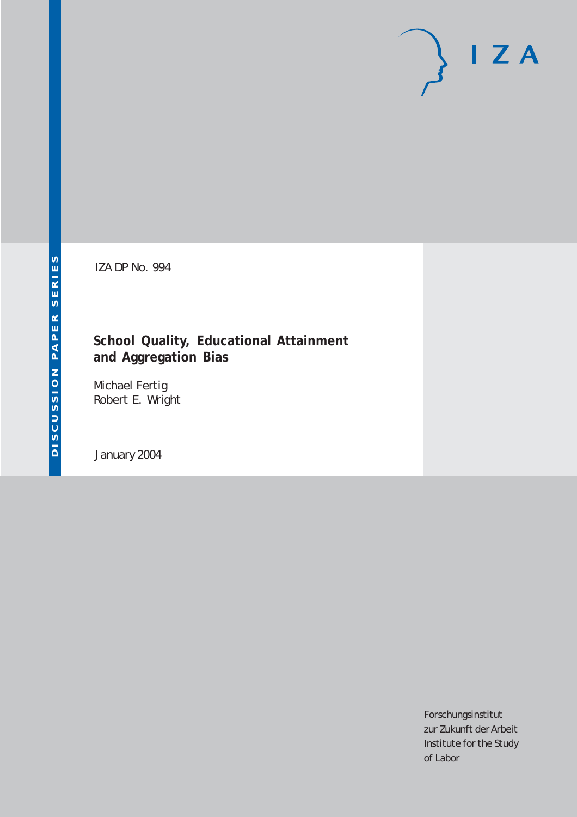# $I Z A$

IZA DP No. 994

## **School Quality, Educational Attainment and Aggregation Bias**

Michael Fertig Robert E. Wright

January 2004

Forschungsinstitut zur Zukunft der Arbeit Institute for the Study of Labor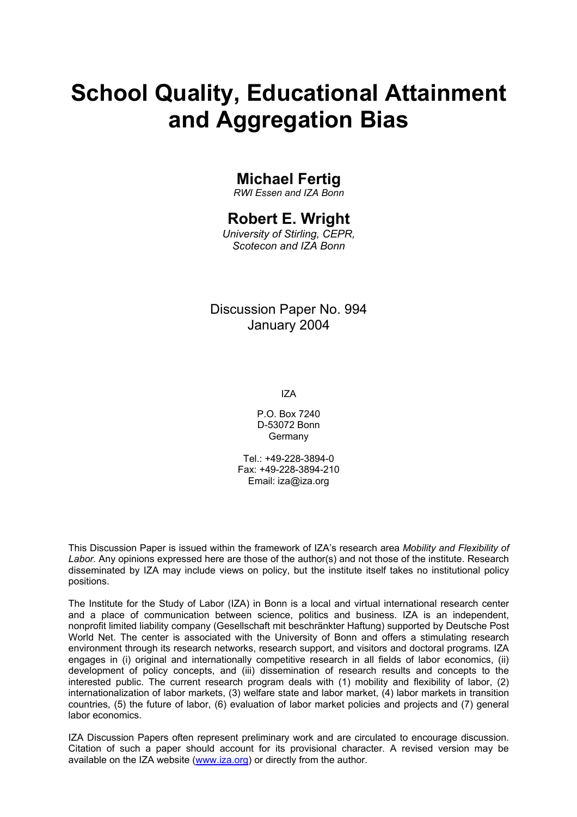# **School Quality, Educational Attainment and Aggregation Bias**

## **Michael Fertig**

*RWI Essen and IZA Bonn* 

## **Robert E. Wright**

*University of Stirling, CEPR, Scotecon and IZA Bonn* 

### Discussion Paper No. 994 January 2004

IZA

P.O. Box 7240 D-53072 Bonn Germany

 $Tel + 49-228-3894-0$ Fax: +49-228-3894-210 Email: [iza@iza.org](mailto:iza@iza.org)

This Discussion Paper is issued within the framework of IZA's research area *Mobility and Flexibility of Labor.* Any opinions expressed here are those of the author(s) and not those of the institute. Research disseminated by IZA may include views on policy, but the institute itself takes no institutional policy positions.

The Institute for the Study of Labor (IZA) in Bonn is a local and virtual international research center and a place of communication between science, politics and business. IZA is an independent, nonprofit limited liability company (Gesellschaft mit beschränkter Haftung) supported by Deutsche Post World Net. The center is associated with the University of Bonn and offers a stimulating research environment through its research networks, research support, and visitors and doctoral programs. IZA engages in (i) original and internationally competitive research in all fields of labor economics, (ii) development of policy concepts, and (iii) dissemination of research results and concepts to the interested public. The current research program deals with (1) mobility and flexibility of labor, (2) internationalization of labor markets, (3) welfare state and labor market, (4) labor markets in transition countries, (5) the future of labor, (6) evaluation of labor market policies and projects and (7) general labor economics.

IZA Discussion Papers often represent preliminary work and are circulated to encourage discussion. Citation of such a paper should account for its provisional character. A revised version may be available on the IZA website ([www.iza.org](http://www.iza.org/)) or directly from the author.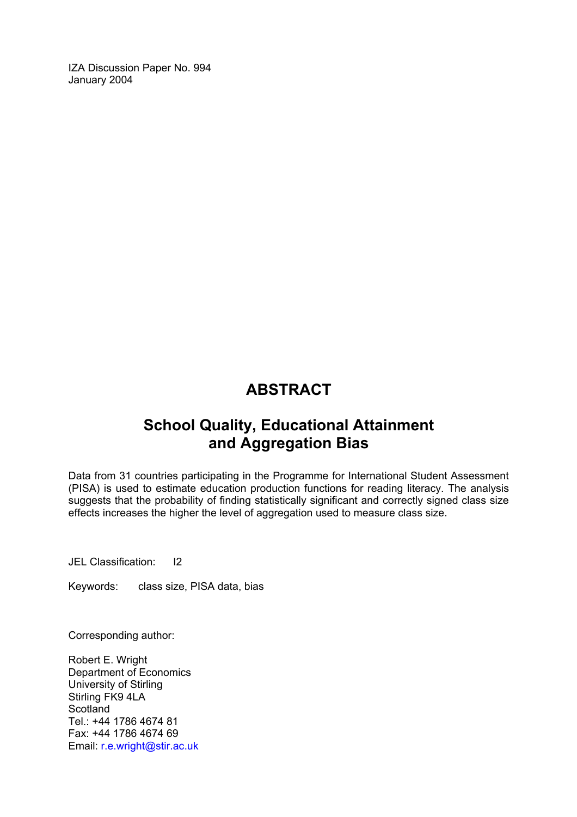IZA Discussion Paper No. 994 January 2004

## **ABSTRACT**

## **School Quality, Educational Attainment and Aggregation Bias**

Data from 31 countries participating in the Programme for International Student Assessment (PISA) is used to estimate education production functions for reading literacy. The analysis suggests that the probability of finding statistically significant and correctly signed class size effects increases the higher the level of aggregation used to measure class size.

JEL Classification: I2

Keywords: class size, PISA data, bias

Corresponding author:

Robert E. Wright Department of Economics University of Stirling Stirling FK9 4LA **Scotland** Tel.: +44 1786 4674 81 Fax: +44 1786 4674 69 Email: [r.e.wright@stir.ac.uk](mailto:r.e.wright@stir.ac.uk)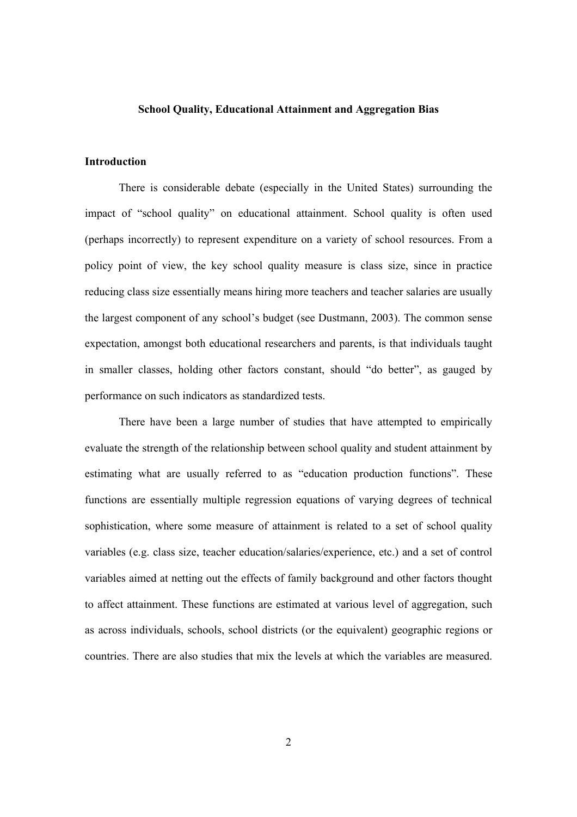#### **School Quality, Educational Attainment and Aggregation Bias**

#### **Introduction**

There is considerable debate (especially in the United States) surrounding the impact of "school quality" on educational attainment. School quality is often used (perhaps incorrectly) to represent expenditure on a variety of school resources. From a policy point of view, the key school quality measure is class size, since in practice reducing class size essentially means hiring more teachers and teacher salaries are usually the largest component of any school's budget (see Dustmann, 2003). The common sense expectation, amongst both educational researchers and parents, is that individuals taught in smaller classes, holding other factors constant, should "do better", as gauged by performance on such indicators as standardized tests.

 There have been a large number of studies that have attempted to empirically evaluate the strength of the relationship between school quality and student attainment by estimating what are usually referred to as "education production functions". These functions are essentially multiple regression equations of varying degrees of technical sophistication, where some measure of attainment is related to a set of school quality variables (e.g. class size, teacher education/salaries/experience, etc.) and a set of control variables aimed at netting out the effects of family background and other factors thought to affect attainment. These functions are estimated at various level of aggregation, such as across individuals, schools, school districts (or the equivalent) geographic regions or countries. There are also studies that mix the levels at which the variables are measured.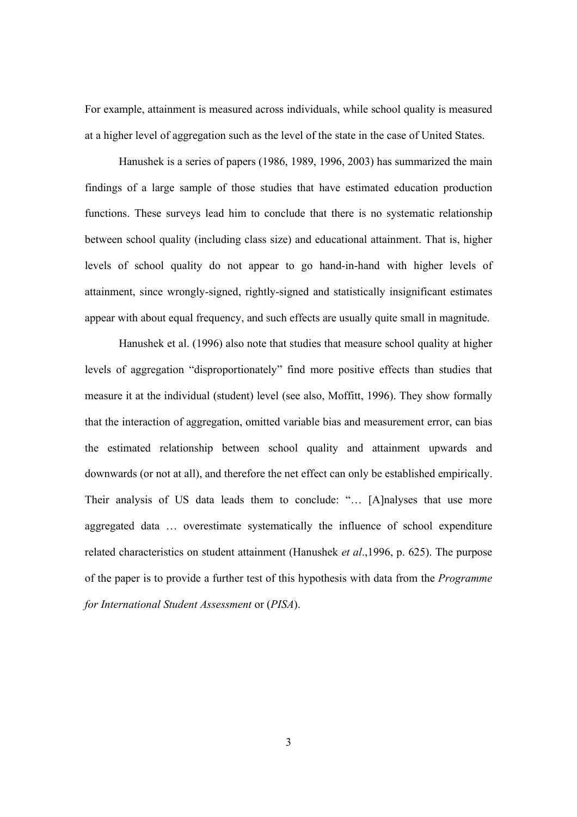For example, attainment is measured across individuals, while school quality is measured at a higher level of aggregation such as the level of the state in the case of United States.

Hanushek is a series of papers (1986, 1989, 1996, 2003) has summarized the main findings of a large sample of those studies that have estimated education production functions. These surveys lead him to conclude that there is no systematic relationship between school quality (including class size) and educational attainment. That is, higher levels of school quality do not appear to go hand-in-hand with higher levels of attainment, since wrongly-signed, rightly-signed and statistically insignificant estimates appear with about equal frequency, and such effects are usually quite small in magnitude.

Hanushek et al. (1996) also note that studies that measure school quality at higher levels of aggregation "disproportionately" find more positive effects than studies that measure it at the individual (student) level (see also, Moffitt, 1996). They show formally that the interaction of aggregation, omitted variable bias and measurement error, can bias the estimated relationship between school quality and attainment upwards and downwards (or not at all), and therefore the net effect can only be established empirically. Their analysis of US data leads them to conclude: "... [A]nalyses that use more aggregated data … overestimate systematically the influence of school expenditure related characteristics on student attainment (Hanushek *et al*.,1996, p. 625). The purpose of the paper is to provide a further test of this hypothesis with data from the *Programme for International Student Assessment* or (*PISA*).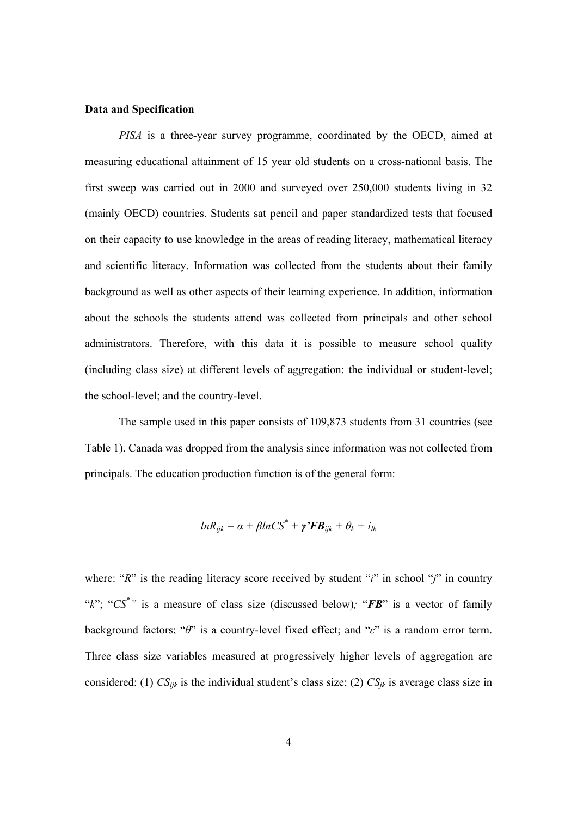#### **Data and Specification**

*PISA* is a three-year survey programme, coordinated by the OECD, aimed at measuring educational attainment of 15 year old students on a cross-national basis. The first sweep was carried out in 2000 and surveyed over 250,000 students living in 32 (mainly OECD) countries. Students sat pencil and paper standardized tests that focused on their capacity to use knowledge in the areas of reading literacy, mathematical literacy and scientific literacy. Information was collected from the students about their family background as well as other aspects of their learning experience. In addition, information about the schools the students attend was collected from principals and other school administrators. Therefore, with this data it is possible to measure school quality (including class size) at different levels of aggregation: the individual or student-level; the school-level; and the country-level.

The sample used in this paper consists of 109,873 students from 31 countries (see Table 1). Canada was dropped from the analysis since information was not collected from principals. The education production function is of the general form:

$$
ln R_{ijk} = \alpha + \beta ln CS^* + \gamma' FB_{ijk} + \theta_k + i_{lk}
$$

where: "*R*" is the reading literacy score received by student "*i*" in school "*j*" in country "*k*"; "*CS\* "* is a measure of class size (discussed below)*;* "*FB*" is a vector of family background factors; "*θ*" is a country-level fixed effect; and "*ε*" is a random error term. Three class size variables measured at progressively higher levels of aggregation are considered: (1)  $CS_{ijk}$  is the individual student's class size; (2)  $CS_{jk}$  is average class size in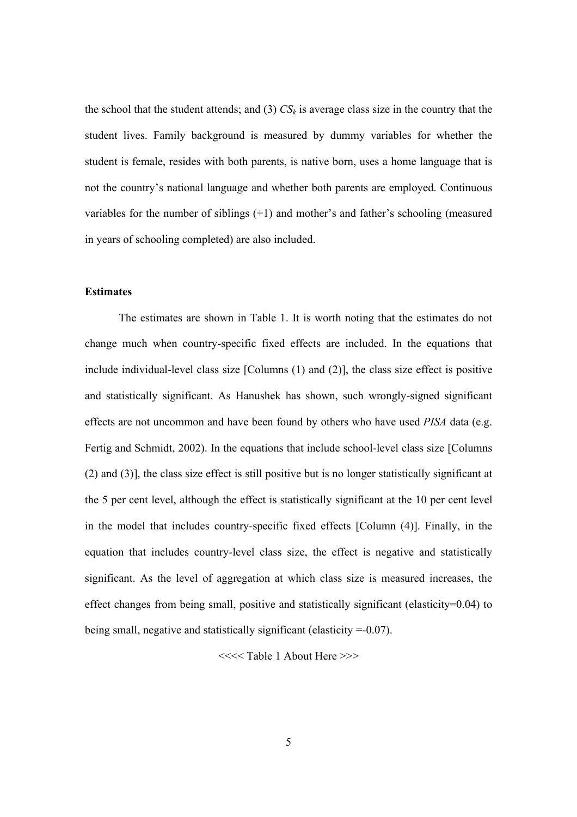the school that the student attends; and (3)  $CS_k$  is average class size in the country that the student lives. Family background is measured by dummy variables for whether the student is female, resides with both parents, is native born, uses a home language that is not the country's national language and whether both parents are employed. Continuous variables for the number of siblings (+1) and mother's and father's schooling (measured in years of schooling completed) are also included.

#### **Estimates**

The estimates are shown in Table 1. It is worth noting that the estimates do not change much when country-specific fixed effects are included. In the equations that include individual-level class size [Columns (1) and (2)], the class size effect is positive and statistically significant. As Hanushek has shown, such wrongly-signed significant effects are not uncommon and have been found by others who have used *PISA* data (e.g. Fertig and Schmidt, 2002). In the equations that include school-level class size [Columns (2) and (3)], the class size effect is still positive but is no longer statistically significant at the 5 per cent level, although the effect is statistically significant at the 10 per cent level in the model that includes country-specific fixed effects [Column (4)]. Finally, in the equation that includes country-level class size, the effect is negative and statistically significant. As the level of aggregation at which class size is measured increases, the effect changes from being small, positive and statistically significant (elasticity= $0.04$ ) to being small, negative and statistically significant (elasticity =-0.07).

<<<< Table 1 About Here >>>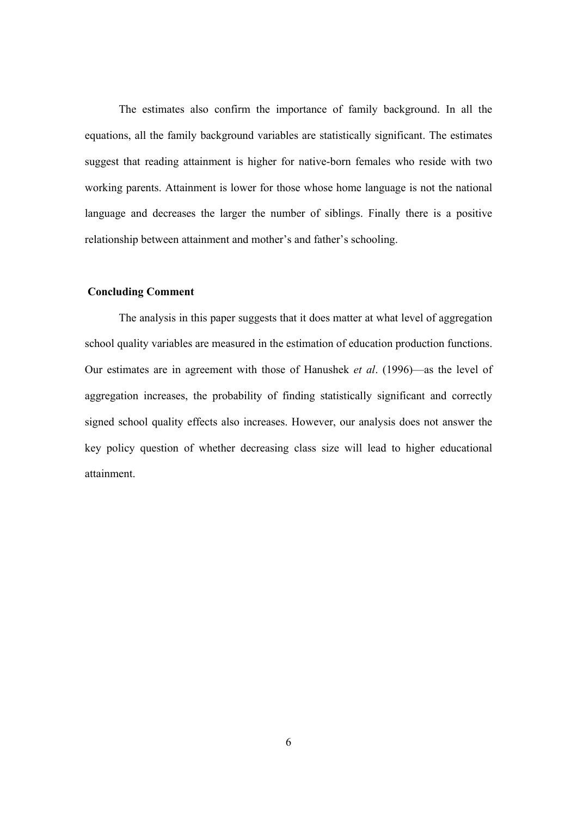The estimates also confirm the importance of family background. In all the equations, all the family background variables are statistically significant. The estimates suggest that reading attainment is higher for native-born females who reside with two working parents. Attainment is lower for those whose home language is not the national language and decreases the larger the number of siblings. Finally there is a positive relationship between attainment and mother's and father's schooling.

#### **Concluding Comment**

 The analysis in this paper suggests that it does matter at what level of aggregation school quality variables are measured in the estimation of education production functions. Our estimates are in agreement with those of Hanushek *et al*. (1996)—as the level of aggregation increases, the probability of finding statistically significant and correctly signed school quality effects also increases. However, our analysis does not answer the key policy question of whether decreasing class size will lead to higher educational attainment.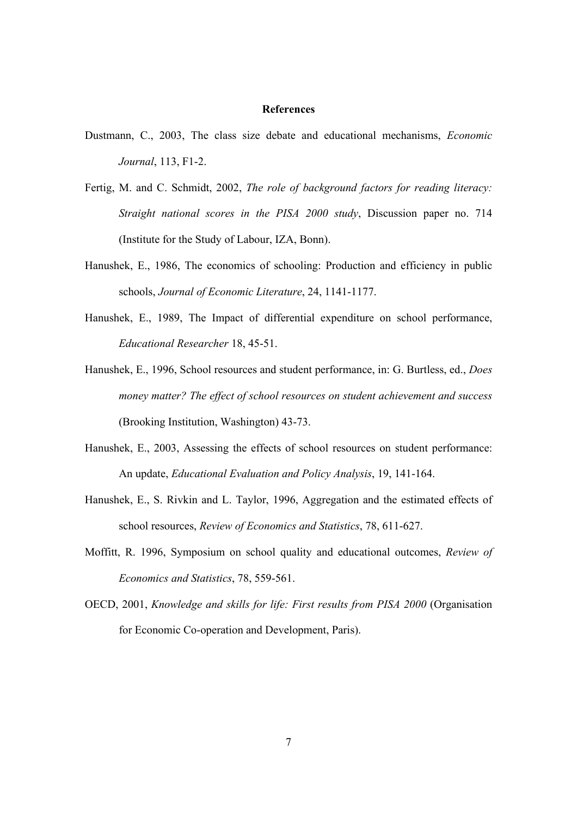#### **References**

- Dustmann, C., 2003, The class size debate and educational mechanisms, *Economic Journal*, 113, F1-2.
- Fertig, M. and C. Schmidt, 2002, *The role of background factors for reading literacy: Straight national scores in the PISA 2000 study*, Discussion paper no. 714 (Institute for the Study of Labour, IZA, Bonn).
- Hanushek, E., 1986, The economics of schooling: Production and efficiency in public schools, *Journal of Economic Literature*, 24, 1141-1177.
- Hanushek, E., 1989, The Impact of differential expenditure on school performance, *Educational Researcher* 18, 45-51.
- Hanushek, E., 1996, School resources and student performance, in: G. Burtless, ed., *Does money matter? The effect of school resources on student achievement and success* (Brooking Institution, Washington) 43-73.
- Hanushek, E., 2003, Assessing the effects of school resources on student performance: An update, *Educational Evaluation and Policy Analysis*, 19, 141-164.
- Hanushek, E., S. Rivkin and L. Taylor, 1996, Aggregation and the estimated effects of school resources, *Review of Economics and Statistics*, 78, 611-627.
- Moffitt, R. 1996, Symposium on school quality and educational outcomes, *Review of Economics and Statistics*, 78, 559-561.
- OECD, 2001, *Knowledge and skills for life: First results from PISA 2000* (Organisation for Economic Co-operation and Development, Paris).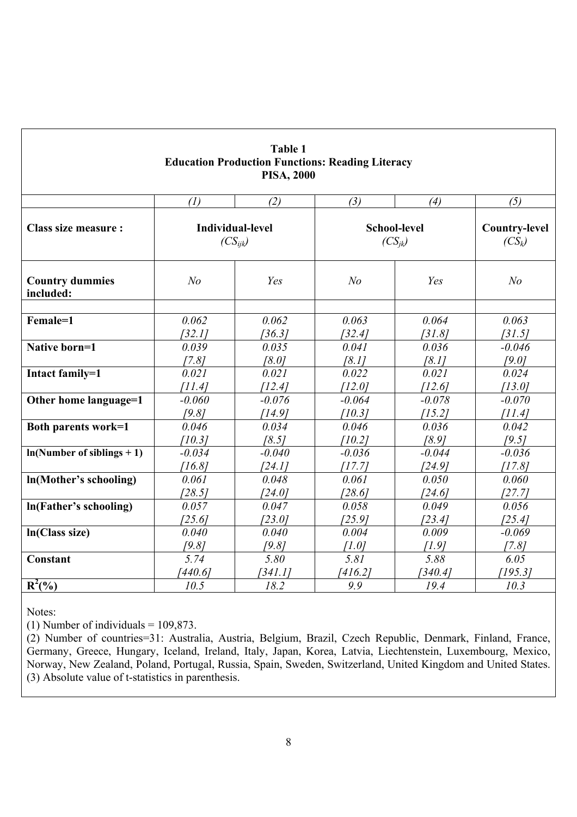| <b>Table 1</b><br><b>Education Production Functions: Reading Literacy</b><br><b>PISA, 2000</b> |                                         |          |                   |                                    |                                  |  |  |
|------------------------------------------------------------------------------------------------|-----------------------------------------|----------|-------------------|------------------------------------|----------------------------------|--|--|
|                                                                                                | (1)                                     | (2)      | (3)               | (4)                                | (5)                              |  |  |
| <b>Class size measure:</b>                                                                     | <b>Individual-level</b><br>$(CS_{iik})$ |          |                   | <b>School-level</b><br>$(CS_{ik})$ | <b>Country-level</b><br>$(CS_k)$ |  |  |
| <b>Country dummies</b><br>included:                                                            | N <sub>o</sub>                          | Yes      | N <sub>o</sub>    | Yes                                | N <sub>o</sub>                   |  |  |
| Female=1                                                                                       | 0.062                                   | 0.062    | 0.063             | 0.064                              | 0.063                            |  |  |
|                                                                                                | [32.1]                                  | [36.3]   | [32.4]            | [31.8]                             | [31.5]                           |  |  |
| Native born=1                                                                                  | 0.039                                   | 0.035    | 0.041             | 0.036                              | $-0.046$                         |  |  |
|                                                                                                | [7.8]                                   | [8.0]    | [8.1]             | [8.1]                              | [9.0]                            |  |  |
| Intact family=1                                                                                | 0.021                                   | 0.021    | 0.022             | 0.021                              | 0.024                            |  |  |
|                                                                                                | [11.4]                                  | [12.4]   | [12.0]            | [12.6]                             | [13.0]                           |  |  |
| Other home language=1                                                                          | $-0.060$                                | $-0.076$ | $-0.064$          | $-0.078$                           | $-0.070$                         |  |  |
|                                                                                                | [9.8]                                   | [14.9]   | [10.3]            | [15.2]                             | [11.4]                           |  |  |
| <b>Both parents work=1</b>                                                                     | 0.046                                   | 0.034    | 0.046             | 0.036                              | 0.042                            |  |  |
|                                                                                                | [10.3]                                  | [8.5]    | [10.2]            | [8.9]                              | [9.5]                            |  |  |
| $ln(Number of siblings + 1)$                                                                   | $-0.034$                                | $-0.040$ | $-0.036$          | $-0.044$                           | $-0.036$                         |  |  |
|                                                                                                | [16.8]                                  | [24.1]   | [17.7]            | [24.9]                             | [17.8]                           |  |  |
| In(Mother's schooling)                                                                         | 0.061                                   | 0.048    | 0.061             | 0.050                              | 0.060                            |  |  |
|                                                                                                | [28.5]                                  | [24.0]   | [28.6]            | [24.6]                             | [27.7]                           |  |  |
| In(Father's schooling)                                                                         | 0.057                                   | 0.047    | 0.058             | 0.049                              | 0.056                            |  |  |
|                                                                                                | [25.6]                                  | [23.0]   | [25.9]            | [23.4]                             | [25.4]                           |  |  |
| In(Class size)                                                                                 | 0.040                                   | 0.040    | 0.004             | 0.009                              | $-0.069$                         |  |  |
|                                                                                                | [9.8]                                   | [9.8]    | [1.0]             | [1.9]                              | [7.8]                            |  |  |
| Constant                                                                                       | 5.74                                    | 5.80     | $5.8\overline{I}$ | 5.88                               | 6.05                             |  |  |
|                                                                                                | 440.6                                   | [341.1]  | [416.2]           | [340.4]                            | [195.3]                          |  |  |
| $R^2(\%)$                                                                                      | 10.5                                    | 18.2     | 9.9               | 19.4                               | 10.3                             |  |  |

Notes:

(1) Number of individuals =  $109,873$ .

(2) Number of countries=31: Australia, Austria, Belgium, Brazil, Czech Republic, Denmark, Finland, France, Germany, Greece, Hungary, Iceland, Ireland, Italy, Japan, Korea, Latvia, Liechtenstein, Luxembourg, Mexico, Norway, New Zealand, Poland, Portugal, Russia, Spain, Sweden, Switzerland, United Kingdom and United States. (3) Absolute value of t-statistics in parenthesis.